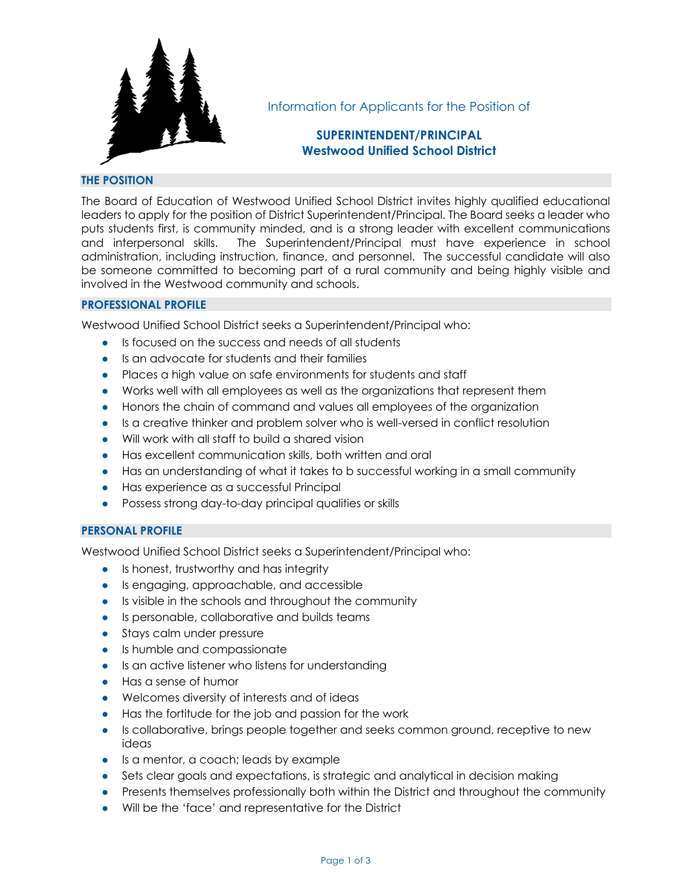

Information for Applicants for the Position of

# **SUPERINTENDENT/PRINCIPAL Westwood Unified School District**

# **THE POSITION**

The Board of Education of Westwood Unified School District invites highly qualified educational leaders to apply for the position of District Superintendent/Principal. The Board seeks a leader who puts students first, is community minded, and is a strong leader with excellent communications and interpersonal skills. The Superintendent/Principal must have experience in school administration, including instruction, finance, and personnel. The successful candidate will also be someone committed to becoming part of a rural community and being highly visible and involved in the Westwood community and schools.

# **PROFESSIONAL PROFILE**

Westwood Unified School District seeks a Superintendent/Principal who:

- Is focused on the success and needs of all students
- Is an advocate for students and their families
- Places a high value on safe environments for students and staff
- Works well with all employees as well as the organizations that represent them
- Honors the chain of command and values all employees of the organization
- Is a creative thinker and problem solver who is well-versed in conflict resolution
- Will work with all staff to build a shared vision
- Has excellent communication skills, both written and oral
- Has an understanding of what it takes to b successful working in a small community
- Has experience as a successful Principal
- Possess strong day-to-day principal qualities or skills

# **PERSONAL PROFILE**

Westwood Unified School District seeks a Superintendent/Principal who:

- Is honest, trustworthy and has integrity
- Is engaging, approachable, and accessible
- Is visible in the schools and throughout the community
- Is personable, collaborative and builds teams
- Stays calm under pressure
- Is humble and compassionate
- Is an active listener who listens for understanding
- Has a sense of humor
- Welcomes diversity of interests and of ideas
- Has the fortitude for the job and passion for the work
- Is collaborative, brings people together and seeks common ground, receptive to new ideas
- Is a mentor, a coach; leads by example
- Sets clear goals and expectations, is strategic and analytical in decision making
- Presents themselves professionally both within the District and throughout the community
- Will be the 'face' and representative for the District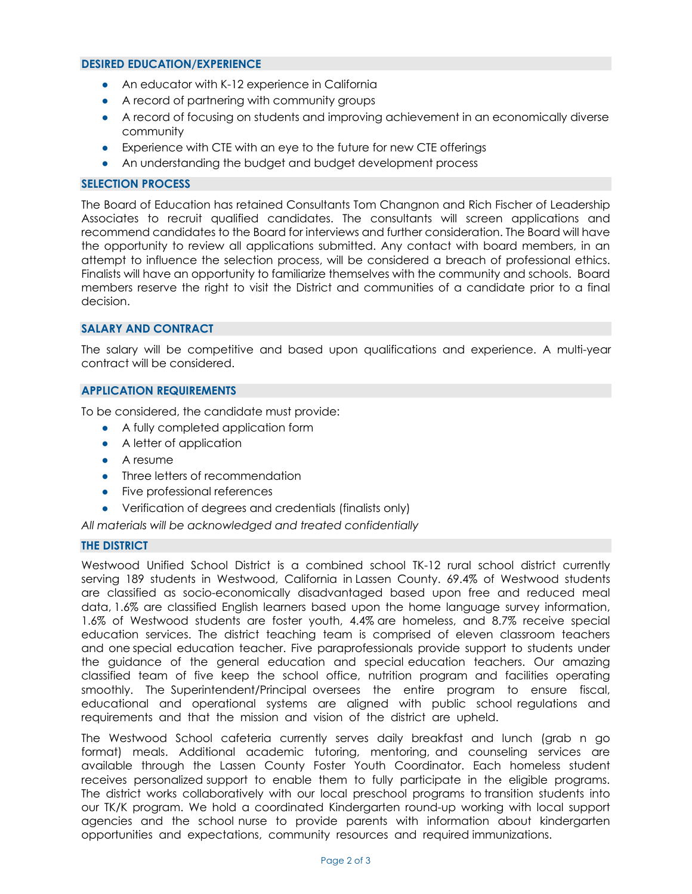#### **DESIRED EDUCATION/EXPERIENCE**

- An educator with K-12 experience in California
- A record of partnering with community groups
- A record of focusing on students and improving achievement in an economically diverse community
- Experience with CTE with an eye to the future for new CTE offerings
- An understanding the budget and budget development process

### **SELECTION PROCESS**

The Board of Education has retained Consultants Tom Changnon and Rich Fischer of Leadership Associates to recruit qualified candidates. The consultants will screen applications and recommend candidates to the Board for interviews and further consideration. The Board will have the opportunity to review all applications submitted. Any contact with board members, in an attempt to influence the selection process, will be considered a breach of professional ethics. Finalists will have an opportunity to familiarize themselves with the community and schools. Board members reserve the right to visit the District and communities of a candidate prior to a final decision.

### **SALARY AND CONTRACT**

The salary will be competitive and based upon qualifications and experience. A multi-year contract will be considered.

#### **APPLICATION REQUIREMENTS**

To be considered, the candidate must provide:

- A fully completed application form
- A letter of application
- A resume
- Three letters of recommendation
- Five professional references
- Verification of degrees and credentials (finalists only)

*All materials will be acknowledged and treated confidentially*

# **THE DISTRICT**

Westwood Unified School District is a combined school TK-12 rural school district currently serving 189 students in Westwood, California in Lassen County. 69.4% of Westwood students are classified as socio-economically disadvantaged based upon free and reduced meal data, 1.6% are classified English learners based upon the home language survey information, 1.6% of Westwood students are foster youth, 4.4% are homeless, and 8.7% receive special education services. The district teaching team is comprised of eleven classroom teachers and one special education teacher. Five paraprofessionals provide support to students under the guidance of the general education and special education teachers. Our amazing classified team of five keep the school office, nutrition program and facilities operating smoothly. The Superintendent/Principal oversees the entire program to ensure fiscal, educational and operational systems are aligned with public school regulations and requirements and that the mission and vision of the district are upheld.

The Westwood School cafeteria currently serves daily breakfast and lunch (grab n go format) meals. Additional academic tutoring, mentoring, and counseling services are available through the Lassen County Foster Youth Coordinator. Each homeless student receives personalized support to enable them to fully participate in the eligible programs. The district works collaboratively with our local preschool programs to transition students into our TK/K program. We hold a coordinated Kindergarten round-up working with local support agencies and the school nurse to provide parents with information about kindergarten opportunities and expectations, community resources and required immunizations.